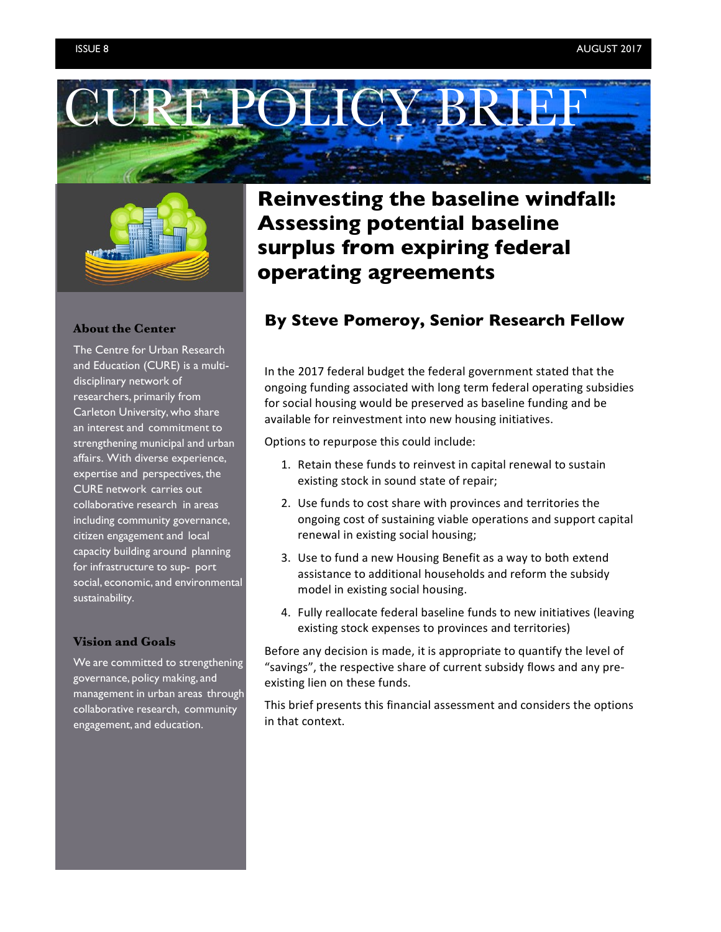



#### **About the Center**

The Centre for Urban Research and Education (CURE) is a multidisciplinary network of researchers, primarily from Carleton University, who share an interest and commitment to strengthening municipal and urban affairs. With diverse experience, expertise and perspectives, the CURE network carries out collaborative research in areas including community governance, citizen engagement and local capacity building around planning for infrastructure to sup- port social, economic, and environmental sustainability.

#### **Vision and Goals**

We are committed to strengthening governance, policy making, and management in urban areas through collaborative research, community engagement, and education.

# **Reinvesting the baseline windfall: Assessing potential baseline surplus from expiring federal operating agreements**

## **By Steve Pomeroy, Senior Research Fellow**

In the 2017 federal budget the federal government stated that the ongoing funding associated with long term federal operating subsidies for social housing would be preserved as baseline funding and be available for reinvestment into new housing initiatives.

Options to repurpose this could include:

- 1. Retain these funds to reinvest in capital renewal to sustain existing stock in sound state of repair;
- 2. Use funds to cost share with provinces and territories the ongoing cost of sustaining viable operations and support capital renewal in existing social housing;
- 3. Use to fund a new Housing Benefit as a way to both extend assistance to additional households and reform the subsidy model in existing social housing.
- 4. Fully reallocate federal baseline funds to new initiatives (leaving existing stock expenses to provinces and territories)

Before any decision is made, it is appropriate to quantify the level of "savings", the respective share of current subsidy flows and any preexisting lien on these funds.

This brief presents this financial assessment and considers the options in that context.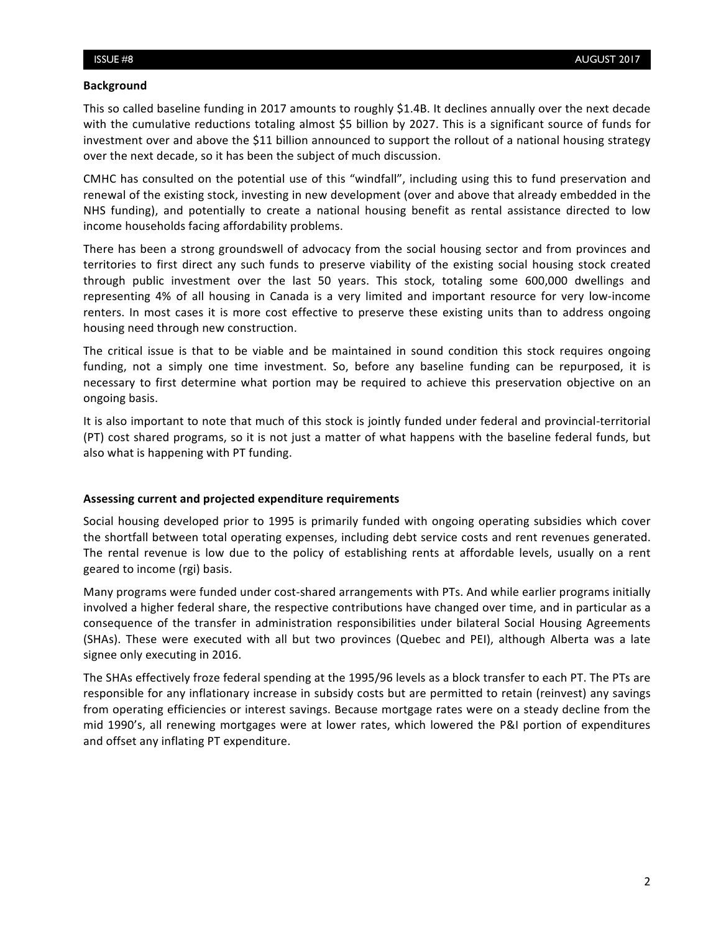#### **Background**

This so called baseline funding in 2017 amounts to roughly \$1.4B. It declines annually over the next decade with the cumulative reductions totaling almost \$5 billion by 2027. This is a significant source of funds for investment over and above the \$11 billion announced to support the rollout of a national housing strategy over the next decade, so it has been the subject of much discussion.

CMHC has consulted on the potential use of this "windfall", including using this to fund preservation and renewal of the existing stock, investing in new development (over and above that already embedded in the NHS funding), and potentially to create a national housing benefit as rental assistance directed to low income households facing affordability problems.

There has been a strong groundswell of advocacy from the social housing sector and from provinces and territories to first direct any such funds to preserve viability of the existing social housing stock created through public investment over the last 50 years. This stock, totaling some 600,000 dwellings and representing 4% of all housing in Canada is a very limited and important resource for very low-income renters. In most cases it is more cost effective to preserve these existing units than to address ongoing housing need through new construction.

The critical issue is that to be viable and be maintained in sound condition this stock requires ongoing funding, not a simply one time investment. So, before any baseline funding can be repurposed, it is necessary to first determine what portion may be required to achieve this preservation objective on an ongoing basis.

It is also important to note that much of this stock is jointly funded under federal and provincial-territorial (PT) cost shared programs, so it is not just a matter of what happens with the baseline federal funds, but also what is happening with PT funding.

### Assessing current and projected expenditure requirements

Social housing developed prior to 1995 is primarily funded with ongoing operating subsidies which cover the shortfall between total operating expenses, including debt service costs and rent revenues generated. The rental revenue is low due to the policy of establishing rents at affordable levels, usually on a rent geared to income (rgi) basis.

Many programs were funded under cost-shared arrangements with PTs. And while earlier programs initially involved a higher federal share, the respective contributions have changed over time, and in particular as a consequence of the transfer in administration responsibilities under bilateral Social Housing Agreements (SHAs). These were executed with all but two provinces (Quebec and PEI), although Alberta was a late signee only executing in 2016.

The SHAs effectively froze federal spending at the 1995/96 levels as a block transfer to each PT. The PTs are responsible for any inflationary increase in subsidy costs but are permitted to retain (reinvest) any savings from operating efficiencies or interest savings. Because mortgage rates were on a steady decline from the mid 1990's, all renewing mortgages were at lower rates, which lowered the P&I portion of expenditures and offset any inflating PT expenditure.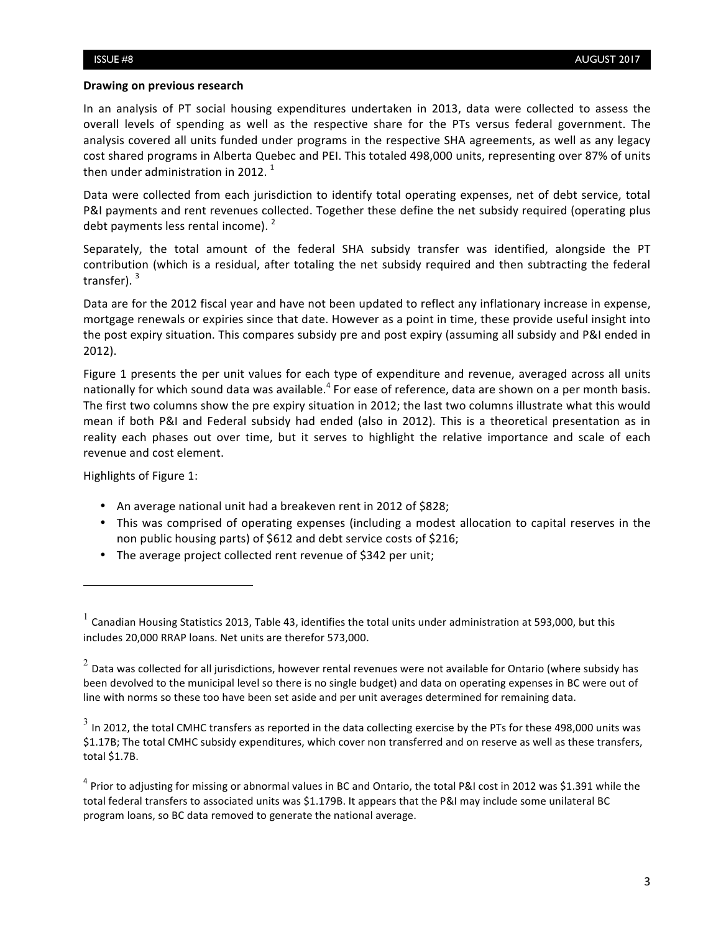#### **Drawing on previous research**

In an analysis of PT social housing expenditures undertaken in 2013, data were collected to assess the overall levels of spending as well as the respective share for the PTs versus federal government. The analysis covered all units funded under programs in the respective SHA agreements, as well as any legacy cost shared programs in Alberta Quebec and PEI. This totaled 498,000 units, representing over 87% of units then under administration in 2012.<sup>1</sup>

Data were collected from each jurisdiction to identify total operating expenses, net of debt service, total P&I payments and rent revenues collected. Together these define the net subsidy required (operating plus debt payments less rental income).  $2$ 

Separately, the total amount of the federal SHA subsidy transfer was identified, alongside the PT contribution (which is a residual, after totaling the net subsidy required and then subtracting the federal transfer).  $3$ 

Data are for the 2012 fiscal year and have not been updated to reflect any inflationary increase in expense, mortgage renewals or expiries since that date. However as a point in time, these provide useful insight into the post expiry situation. This compares subsidy pre and post expiry (assuming all subsidy and P&I ended in 2012).

Figure 1 presents the per unit values for each type of expenditure and revenue, averaged across all units nationally for which sound data was available.<sup>4</sup> For ease of reference, data are shown on a per month basis. The first two columns show the pre expiry situation in 2012; the last two columns illustrate what this would mean if both P&I and Federal subsidy had ended (also in 2012). This is a theoretical presentation as in reality each phases out over time, but it serves to highlight the relative importance and scale of each revenue and cost element.

Highlights of Figure 1:

<u> 1989 - Johann Stein, fransk politik (d. 1989)</u>

- An average national unit had a breakeven rent in 2012 of \$828;
- This was comprised of operating expenses (including a modest allocation to capital reserves in the non public housing parts) of \$612 and debt service costs of \$216;
- The average project collected rent revenue of \$342 per unit;

 $^1$  Canadian Housing Statistics 2013, Table 43, identifies the total units under administration at 593,000, but this includes 20,000 RRAP loans. Net units are therefor 573,000.

 $2$  Data was collected for all jurisdictions, however rental revenues were not available for Ontario (where subsidy has been devolved to the municipal level so there is no single budget) and data on operating expenses in BC were out of line with norms so these too have been set aside and per unit averages determined for remaining data.

 $3$  In 2012, the total CMHC transfers as reported in the data collecting exercise by the PTs for these 498,000 units was \$1.17B; The total CMHC subsidy expenditures, which cover non transferred and on reserve as well as these transfers, total \$1.7B.

 $4$  Prior to adjusting for missing or abnormal values in BC and Ontario, the total P&I cost in 2012 was \$1.391 while the total federal transfers to associated units was \$1.179B. It appears that the P&I may include some unilateral BC program loans, so BC data removed to generate the national average.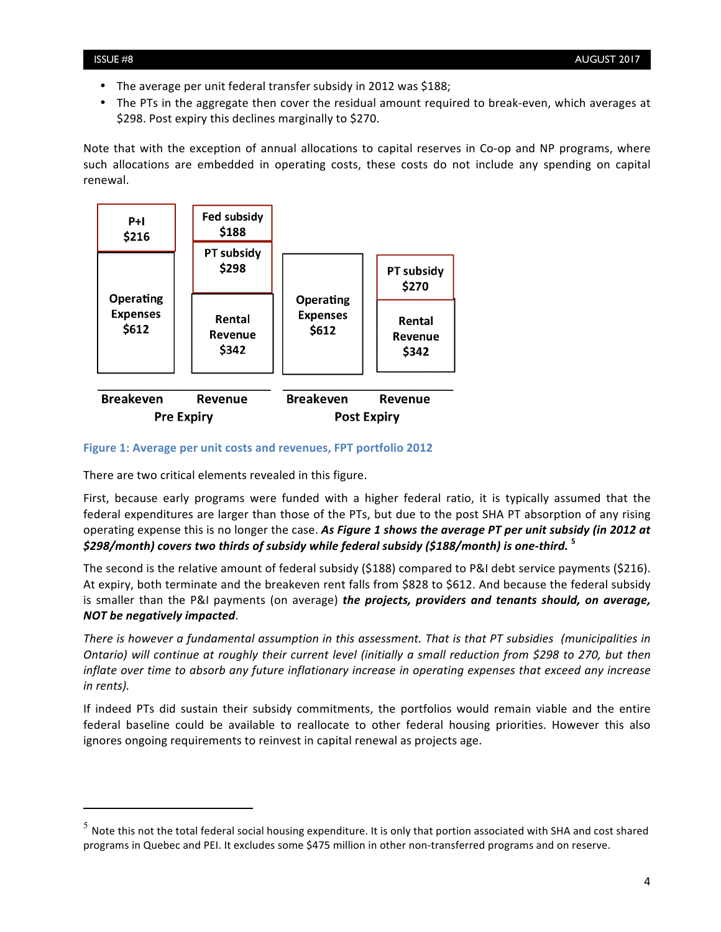- The average per unit federal transfer subsidy in 2012 was \$188;
- The PTs in the aggregate then cover the residual amount required to break-even, which averages at \$298. Post expiry this declines marginally to \$270.

Note that with the exception of annual allocations to capital reserves in Co-op and NP programs, where such allocations are embedded in operating costs, these costs do not include any spending on capital renewal. 



#### Figure 1: Average per unit costs and revenues, FPT portfolio 2012

There are two critical elements revealed in this figure.

<u> 1989 - Johann Stein, fransk politik (d. 1989)</u>

First, because early programs were funded with a higher federal ratio, it is typically assumed that the federal expenditures are larger than those of the PTs, but due to the post SHA PT absorption of any rising operating expense this is no longer the case. As Figure 1 shows the average PT per unit subsidy (in 2012 at **\$298/month)** covers two thirds of subsidy while federal subsidy (\$188/month) is one-third. <sup>5</sup>

The second is the relative amount of federal subsidy (\$188) compared to P&I debt service payments (\$216). At expiry, both terminate and the breakeven rent falls from \$828 to \$612. And because the federal subsidy is smaller than the P&I payments (on average) *the projects, providers and tenants should, on average, NOT be negatively impacted*. 

*There is however a fundamental assumption in this assessment. That is that PT subsidies (municipalities in Ontario)* will continue at roughly their current level (initially a small reduction from \$298 to 270, but then *inflate* over time to absorb any future inflationary increase in operating expenses that exceed any increase *in rents).* 

If indeed PTs did sustain their subsidy commitments, the portfolios would remain viable and the entire federal baseline could be available to reallocate to other federal housing priorities. However this also ignores ongoing requirements to reinvest in capital renewal as projects age.

 $5$  Note this not the total federal social housing expenditure. It is only that portion associated with SHA and cost shared programs in Quebec and PEI. It excludes some \$475 million in other non-transferred programs and on reserve.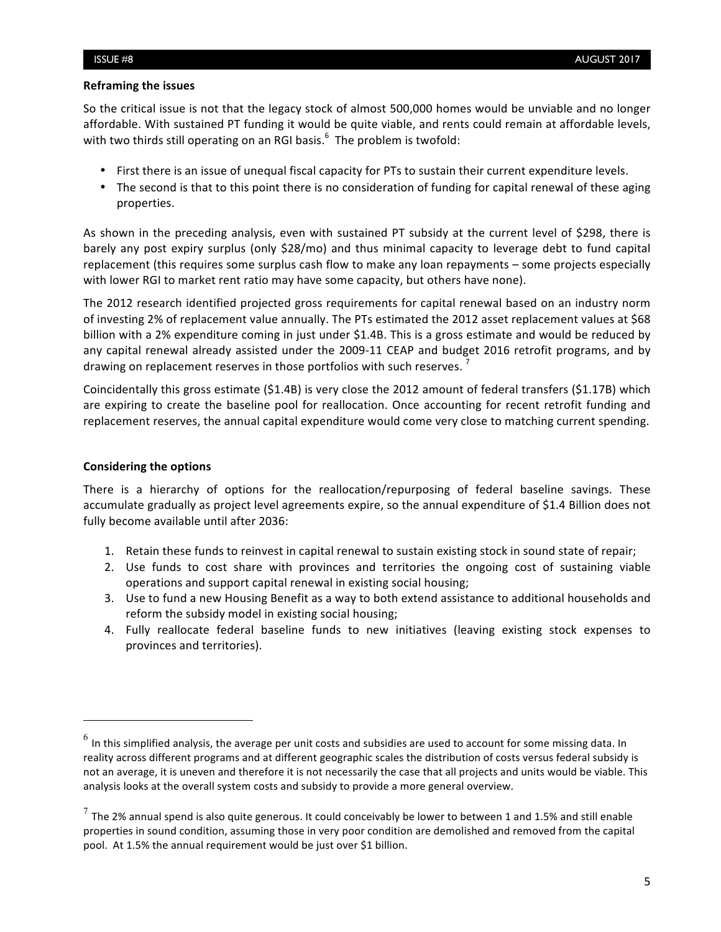#### **Reframing the issues**

So the critical issue is not that the legacy stock of almost 500,000 homes would be unviable and no longer affordable. With sustained PT funding it would be quite viable, and rents could remain at affordable levels, with two thirds still operating on an RGI basis. $<sup>6</sup>$  The problem is twofold:</sup>

- First there is an issue of unequal fiscal capacity for PTs to sustain their current expenditure levels.
- The second is that to this point there is no consideration of funding for capital renewal of these aging properties.

As shown in the preceding analysis, even with sustained PT subsidy at the current level of \$298, there is barely any post expiry surplus (only \$28/mo) and thus minimal capacity to leverage debt to fund capital replacement (this requires some surplus cash flow to make any loan repayments – some projects especially with lower RGI to market rent ratio may have some capacity, but others have none).

The 2012 research identified projected gross requirements for capital renewal based on an industry norm of investing 2% of replacement value annually. The PTs estimated the 2012 asset replacement values at \$68 billion with a 2% expenditure coming in just under \$1.4B. This is a gross estimate and would be reduced by any capital renewal already assisted under the 2009-11 CEAP and budget 2016 retrofit programs, and by drawing on replacement reserves in those portfolios with such reserves.

Coincidentally this gross estimate  $(S1.4B)$  is very close the 2012 amount of federal transfers  $(S1.17B)$  which are expiring to create the baseline pool for reallocation. Once accounting for recent retrofit funding and replacement reserves, the annual capital expenditure would come very close to matching current spending.

### **Considering the options**

<u> 1989 - Johann Stein, fransk politik (d. 1989)</u>

There is a hierarchy of options for the reallocation/repurposing of federal baseline savings. These accumulate gradually as project level agreements expire, so the annual expenditure of \$1.4 Billion does not fully become available until after 2036:

- 1. Retain these funds to reinvest in capital renewal to sustain existing stock in sound state of repair;
- 2. Use funds to cost share with provinces and territories the ongoing cost of sustaining viable operations and support capital renewal in existing social housing;
- 3. Use to fund a new Housing Benefit as a way to both extend assistance to additional households and reform the subsidy model in existing social housing;
- 4. Fully reallocate federal baseline funds to new initiatives (leaving existing stock expenses to provinces and territories).

 $^6$  In this simplified analysis, the average per unit costs and subsidies are used to account for some missing data. In reality across different programs and at different geographic scales the distribution of costs versus federal subsidy is not an average, it is uneven and therefore it is not necessarily the case that all projects and units would be viable. This analysis looks at the overall system costs and subsidy to provide a more general overview.

 $^7$  The 2% annual spend is also quite generous. It could conceivably be lower to between 1 and 1.5% and still enable properties in sound condition, assuming those in very poor condition are demolished and removed from the capital pool. At 1.5% the annual requirement would be just over \$1 billion.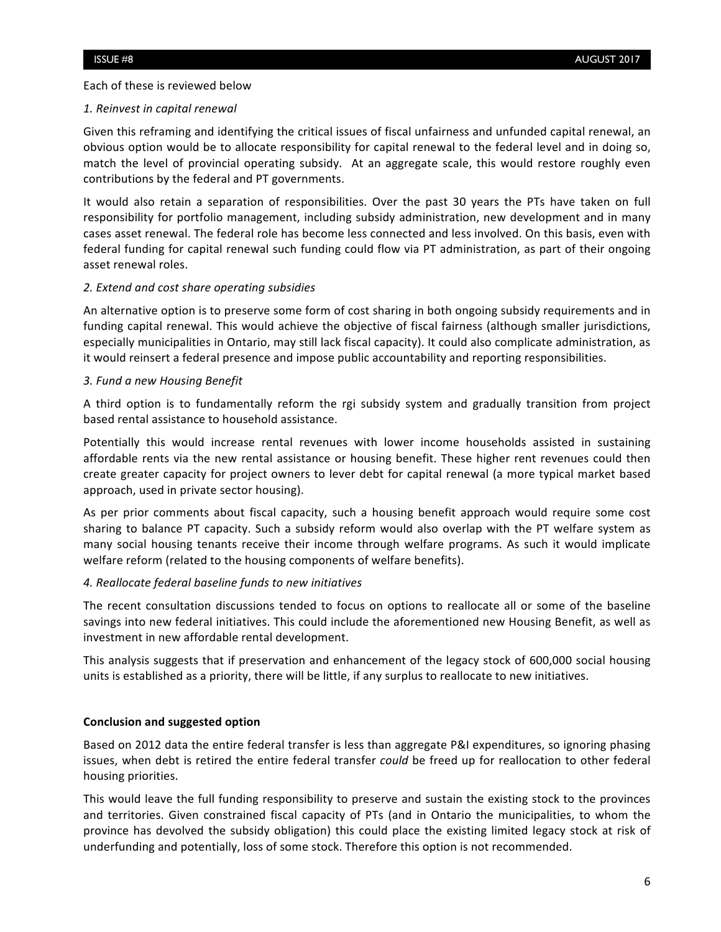Each of these is reviewed below

### *1. Reinvest in capital renewal*

Given this reframing and identifying the critical issues of fiscal unfairness and unfunded capital renewal, an obvious option would be to allocate responsibility for capital renewal to the federal level and in doing so, match the level of provincial operating subsidy. At an aggregate scale, this would restore roughly even contributions by the federal and PT governments.

It would also retain a separation of responsibilities. Over the past 30 years the PTs have taken on full responsibility for portfolio management, including subsidy administration, new development and in many cases asset renewal. The federal role has become less connected and less involved. On this basis, even with federal funding for capital renewal such funding could flow via PT administration, as part of their ongoing asset renewal roles.

### *2. Extend and cost share operating subsidies*

An alternative option is to preserve some form of cost sharing in both ongoing subsidy requirements and in funding capital renewal. This would achieve the objective of fiscal fairness (although smaller jurisdictions, especially municipalities in Ontario, may still lack fiscal capacity). It could also complicate administration, as it would reinsert a federal presence and impose public accountability and reporting responsibilities.

#### *3. Fund a new Housing Benefit*

A third option is to fundamentally reform the rgi subsidy system and gradually transition from project based rental assistance to household assistance.

Potentially this would increase rental revenues with lower income households assisted in sustaining affordable rents via the new rental assistance or housing benefit. These higher rent revenues could then create greater capacity for project owners to lever debt for capital renewal (a more typical market based approach, used in private sector housing).

As per prior comments about fiscal capacity, such a housing benefit approach would require some cost sharing to balance PT capacity. Such a subsidy reform would also overlap with the PT welfare system as many social housing tenants receive their income through welfare programs. As such it would implicate welfare reform (related to the housing components of welfare benefits).

### *4. Reallocate federal baseline funds to new initiatives*

The recent consultation discussions tended to focus on options to reallocate all or some of the baseline savings into new federal initiatives. This could include the aforementioned new Housing Benefit, as well as investment in new affordable rental development.

This analysis suggests that if preservation and enhancement of the legacy stock of 600,000 social housing units is established as a priority, there will be little, if any surplus to reallocate to new initiatives.

### **Conclusion and suggested option**

Based on 2012 data the entire federal transfer is less than aggregate P&I expenditures, so ignoring phasing issues, when debt is retired the entire federal transfer *could* be freed up for reallocation to other federal housing priorities.

This would leave the full funding responsibility to preserve and sustain the existing stock to the provinces and territories. Given constrained fiscal capacity of PTs (and in Ontario the municipalities, to whom the province has devolved the subsidy obligation) this could place the existing limited legacy stock at risk of underfunding and potentially, loss of some stock. Therefore this option is not recommended.